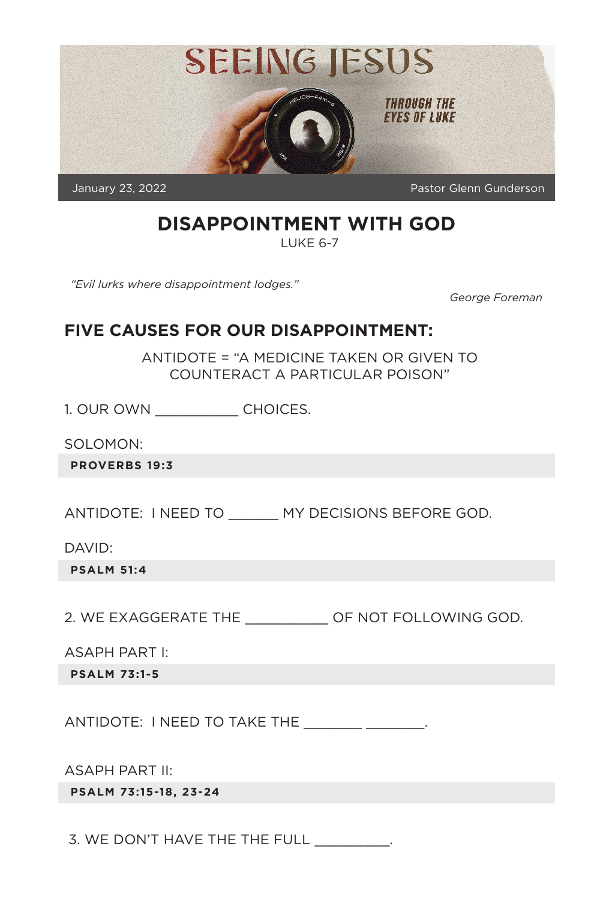

# **DISAPPOINTMENT WITH GOD**

LUKE 6-7

*"Evil lurks where disappointment lodges."*

*George Foreman*

#### **FIVE CAUSES FOR OUR DISAPPOINTMENT:**

ANTIDOTE = "A MEDICINE TAKEN OR GIVEN TO COUNTERACT A PARTICULAR POISON"

1. OUR OWN \_\_\_\_\_\_\_\_\_\_ CHOICES.

SOLOMON:

**PROVERBS 19:3**

ANTIDOTE: I NEED TO \_\_\_\_\_\_ MY DECISIONS BEFORE GOD.

DAVID:

**PSALM 51:4**

2. WE EXAGGERATE THE \_\_\_\_\_\_\_\_\_\_ OF NOT FOLLOWING GOD.

ASAPH PART I:

**PSALM 73:1-5**

ANTIDOTE: I NEED TO TAKE THE \_\_\_\_\_\_\_\_\_\_\_\_\_\_\_\_.

ASAPH PART II:

**PSALM 73:15-18, 23-24**

3. WE DON'T HAVE THE THE FULL  $\qquad \qquad .$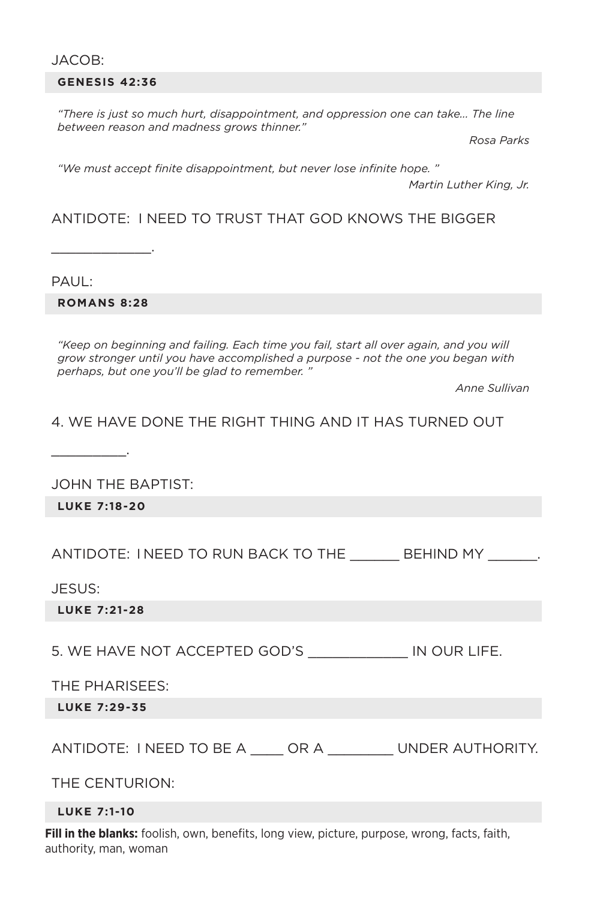#### JACOB:

#### **GENESIS 42:36**

*"There is just so much hurt, disappointment, and oppression one can take... The line between reason and madness grows thinner."*

*Rosa Parks*

*"We must accept finite disappointment, but never lose infinite hope. "*

*Martin Luther King, Jr.*

#### ANTIDOTE: I NEED TO TRUST THAT GOD KNOWS THE BIGGER

PAUL:

**ROMANS 8:28**

\_\_\_\_\_\_\_\_\_\_\_\_.

*"Keep on beginning and failing. Each time you fail, start all over again, and you will grow stronger until you have accomplished a purpose - not the one you began with perhaps, but one you'll be glad to remember. "*

*Anne Sullivan*

4. WE HAVE DONE THE RIGHT THING AND IT HAS TURNED OUT

JOHN THE BAPTIST:

**LUKE 7:18-20**

 $\overline{\phantom{a}}$  . The set of the set of the set of the set of the set of the set of the set of the set of the set of the set of the set of the set of the set of the set of the set of the set of the set of the set of the set o

ANTIDOTE: I NEED TO RUN BACK TO THE BEHIND MY  $\qquad \qquad$ .

JESUS:

**LUKE 7:21-28**

5. WE HAVE NOT ACCEPTED GOD'S \_\_\_\_\_\_\_\_\_\_\_\_ IN OUR LIFE.

THE PHARISEES:

**LUKE 7:29-35**

ANTIDOTE: I NEED TO BE A \_\_\_\_ OR A \_\_\_\_\_\_ UNDER AUTHORITY.

THE CENTURION:

#### **LUKE 7:1-10**

**Fill in the blanks:** foolish, own, benefits, long view, picture, purpose, wrong, facts, faith, authority, man, woman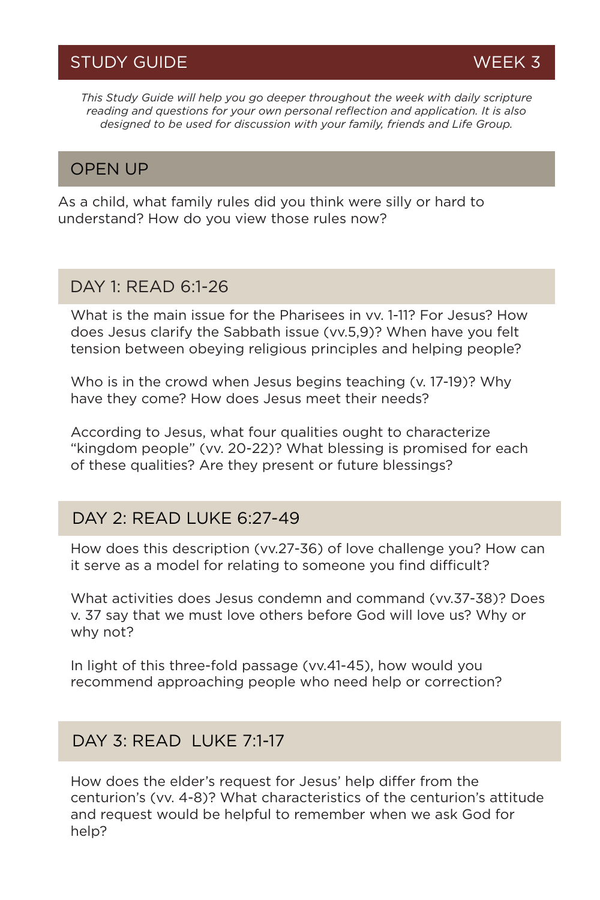*This Study Guide will help you go deeper throughout the week with daily scripture reading and questions for your own personal reflection and application. It is also designed to be used for discussion with your family, friends and Life Group.*

### OPEN UP

As a child, what family rules did you think were silly or hard to understand? How do you view those rules now?

#### DAY 1: READ 6:1-26

What is the main issue for the Pharisees in vy. 1-11? For Jesus? How does Jesus clarify the Sabbath issue (vv.5,9)? When have you felt tension between obeying religious principles and helping people?

Who is in the crowd when Jesus begins teaching (v. 17-19)? Why have they come? How does Jesus meet their needs?

According to Jesus, what four qualities ought to characterize "kingdom people" (vv. 20-22)? What blessing is promised for each of these qualities? Are they present or future blessings?

#### DAY 2: READ LUKE 6:27-49

How does this description (vv.27-36) of love challenge you? How can it serve as a model for relating to someone you find difficult?

What activities does Jesus condemn and command (vv.37-38)? Does v. 37 say that we must love others before God will love us? Why or why not?

In light of this three-fold passage (vv.41-45), how would you recommend approaching people who need help or correction?

## DAY 3: READ LUKE 7:1-17

How does the elder's request for Jesus' help differ from the centurion's (vv. 4-8)? What characteristics of the centurion's attitude and request would be helpful to remember when we ask God for help?